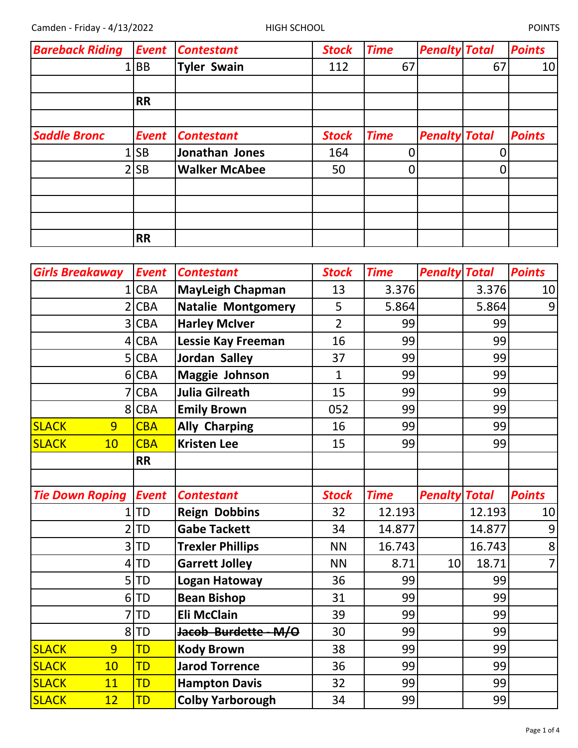| <b>Bareback Riding</b> | <b>Event</b> | <b>Contestant</b>    | <b>Stock</b> | <b>Time</b> | <b>Penalty Total</b> |    | <b>Points</b> |
|------------------------|--------------|----------------------|--------------|-------------|----------------------|----|---------------|
|                        | <b>BB</b>    | Tyler Swain          | 112          | 67          |                      | 67 | 10            |
|                        |              |                      |              |             |                      |    |               |
|                        | <b>RR</b>    |                      |              |             |                      |    |               |
|                        |              |                      |              |             |                      |    |               |
| <b>Saddle Bronc</b>    | <b>Event</b> | <b>Contestant</b>    | <b>Stock</b> | <b>Time</b> | <b>Penalty Total</b> |    | <b>Points</b> |
|                        | <b>SB</b>    | Jonathan Jones       | 164          | 0           |                      |    |               |
|                        | 2 SB         | <b>Walker McAbee</b> | 50           | 0           |                      |    |               |
|                        |              |                      |              |             |                      |    |               |
|                        |              |                      |              |             |                      |    |               |
|                        |              |                      |              |             |                      |    |               |
|                        | <b>RR</b>    |                      |              |             |                      |    |               |

| <b>Girls Breakaway</b> | <b>Event</b> | <b>Contestant</b>         | <b>Stock</b>   | <b>Time</b> | <b>Penalty Total</b> |        | <b>Points</b>   |
|------------------------|--------------|---------------------------|----------------|-------------|----------------------|--------|-----------------|
| 1                      | <b>CBA</b>   | <b>MayLeigh Chapman</b>   | 13             | 3.376       |                      | 3.376  | 10              |
|                        | <b>CBA</b>   | <b>Natalie Montgomery</b> | 5              | 5.864       |                      | 5.864  | $\vert 9 \vert$ |
| 3                      | <b>CBA</b>   | <b>Harley McIver</b>      | $\overline{2}$ | 99          |                      | 99     |                 |
| 4                      | <b>CBA</b>   | <b>Lessie Kay Freeman</b> | 16             | 99          |                      | 99     |                 |
| 5                      | <b>CBA</b>   | <b>Jordan Salley</b>      | 37             | 99          |                      | 99     |                 |
| 6                      | <b>CBA</b>   | <b>Maggie Johnson</b>     | $\mathbf{1}$   | 99          |                      | 99     |                 |
|                        | <b>CBA</b>   | <b>Julia Gilreath</b>     | 15             | 99          |                      | 99     |                 |
| 8                      | <b>CBA</b>   | <b>Emily Brown</b>        | 052            | 99          |                      | 99     |                 |
| <b>SLACK</b><br>9      | <b>CBA</b>   | <b>Ally Charping</b>      | 16             | 99          |                      | 99     |                 |
| <b>SLACK</b><br>10     | <b>CBA</b>   | <b>Kristen Lee</b>        | 15             | 99          |                      | 99     |                 |
|                        | <b>RR</b>    |                           |                |             |                      |        |                 |
|                        |              |                           |                |             |                      |        |                 |
| <b>Tie Down Roping</b> | <b>Event</b> | <b>Contestant</b>         | <b>Stock</b>   | <b>Time</b> | <b>Penalty Total</b> |        | <b>Points</b>   |
| 1                      | TD           | <b>Reign Dobbins</b>      | 32             | 12.193      |                      | 12.193 | 10              |
|                        | <b>TD</b>    | <b>Gabe Tackett</b>       | 34             | 14.877      |                      |        | 9               |
| 3                      |              |                           |                |             |                      | 14.877 |                 |
|                        | TD           | <b>Trexler Phillips</b>   | <b>NN</b>      | 16.743      |                      | 16.743 | 8               |
| 4                      | TD           | <b>Garrett Jolley</b>     | <b>NN</b>      | 8.71        | 10                   | 18.71  | $\overline{7}$  |
| 5                      | TD           | Logan Hatoway             | 36             | 99          |                      | 99     |                 |
| 6                      | <b>TD</b>    | <b>Bean Bishop</b>        | 31             | 99          |                      | 99     |                 |
|                        | <b>TD</b>    | <b>Eli McClain</b>        | 39             | 99          |                      | 99     |                 |
| 8                      | TD           | Jacob Burdette M/O        | 30             | 99          |                      | 99     |                 |
| <b>SLACK</b><br>9      | TD           | <b>Kody Brown</b>         | 38             | 99          |                      | 99     |                 |
| 10<br><b>SLACK</b>     | <b>TD</b>    | <b>Jarod Torrence</b>     | 36             | 99          |                      | 99     |                 |
| <b>SLACK</b><br>11     | <b>TD</b>    | <b>Hampton Davis</b>      | 32             | 99          |                      | 99     |                 |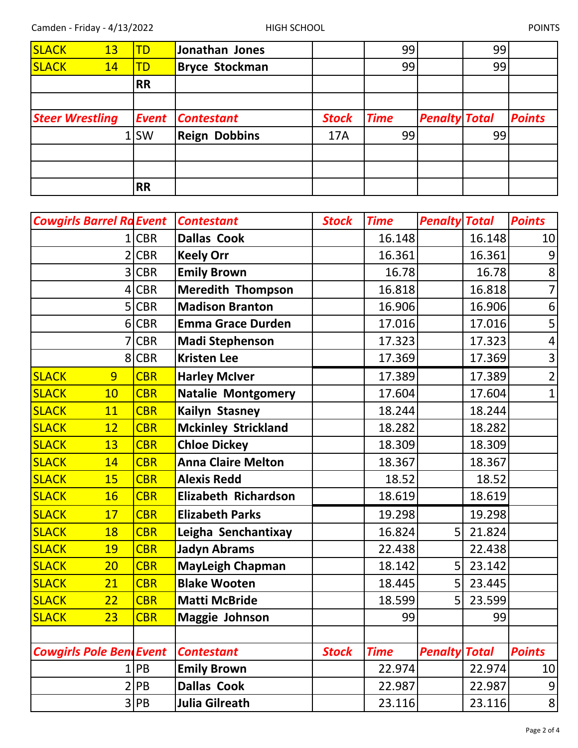| <b>SLACK</b> | 13                     | <b>TD</b>    | Jonathan Jones        |              | 99          |                      | 99 |               |
|--------------|------------------------|--------------|-----------------------|--------------|-------------|----------------------|----|---------------|
| <b>SLACK</b> | 14                     | <b>TD</b>    | <b>Bryce Stockman</b> |              | 99          |                      | 99 |               |
|              |                        | <b>RR</b>    |                       |              |             |                      |    |               |
|              |                        |              |                       |              |             |                      |    |               |
|              | <b>Steer Wrestling</b> | <b>Event</b> | <b>Contestant</b>     | <b>Stock</b> | <b>Time</b> | <b>Penalty Total</b> |    | <b>Points</b> |
|              |                        | 1 SW         | <b>Reign Dobbins</b>  | 17A          | 99          |                      | 99 |               |
|              |                        |              |                       |              |             |                      |    |               |
|              |                        |              |                       |              |             |                      |    |               |
|              |                        | <b>RR</b>    |                       |              |             |                      |    |               |

|              | <b>Cowgirls Barrel Ra Event</b> |            | <b>Contestant</b>           | <b>Stock</b> | <b>Time</b> | <b>Penalty Total</b> |        | <b>Points</b>           |
|--------------|---------------------------------|------------|-----------------------------|--------------|-------------|----------------------|--------|-------------------------|
|              |                                 | <b>CBR</b> | <b>Dallas Cook</b>          |              | 16.148      |                      | 16.148 | 10                      |
|              | $\overline{2}$                  | <b>CBR</b> | <b>Keely Orr</b>            |              | 16.361      |                      | 16.361 | $\overline{9}$          |
|              | 3                               | <b>CBR</b> | <b>Emily Brown</b>          |              | 16.78       |                      | 16.78  | 8 <sup>1</sup>          |
|              | 4                               | <b>CBR</b> | <b>Meredith Thompson</b>    |              | 16.818      |                      | 16.818 | $\overline{7}$          |
|              | 5                               | <b>CBR</b> | <b>Madison Branton</b>      |              | 16.906      |                      | 16.906 | $\boldsymbol{6}$        |
|              | $6 \overline{6}$                | <b>CBR</b> | <b>Emma Grace Durden</b>    |              | 17.016      |                      | 17.016 | 5 <sup>1</sup>          |
|              |                                 | <b>CBR</b> | <b>Madi Stephenson</b>      |              | 17.323      |                      | 17.323 | $\vert 4 \vert$         |
|              | 8 <sup>1</sup>                  | <b>CBR</b> | <b>Kristen Lee</b>          |              | 17.369      |                      | 17.369 | $\overline{\mathbf{3}}$ |
| <b>SLACK</b> | 9                               | <b>CBR</b> | <b>Harley McIver</b>        |              | 17.389      |                      | 17.389 | $\overline{2}$          |
| <b>SLACK</b> | 10                              | <b>CBR</b> | <b>Natalie Montgomery</b>   |              | 17.604      |                      | 17.604 | $\mathbf{1}$            |
| <b>SLACK</b> | 11                              | <b>CBR</b> | Kailyn Stasney              |              | 18.244      |                      | 18.244 |                         |
| <b>SLACK</b> | 12                              | <b>CBR</b> | <b>Mckinley Strickland</b>  |              | 18.282      |                      | 18.282 |                         |
| <b>SLACK</b> | 13                              | <b>CBR</b> | <b>Chloe Dickey</b>         |              | 18.309      |                      | 18.309 |                         |
| <b>SLACK</b> | 14                              | <b>CBR</b> | <b>Anna Claire Melton</b>   |              | 18.367      |                      | 18.367 |                         |
| <b>SLACK</b> | 15                              | <b>CBR</b> | <b>Alexis Redd</b>          |              | 18.52       |                      | 18.52  |                         |
| <b>SLACK</b> | <b>16</b>                       | <b>CBR</b> | <b>Elizabeth Richardson</b> |              | 18.619      |                      | 18.619 |                         |
| <b>SLACK</b> | 17                              | <b>CBR</b> | <b>Elizabeth Parks</b>      |              | 19.298      |                      | 19.298 |                         |
| <b>SLACK</b> | 18                              | <b>CBR</b> | Leigha Senchantixay         |              | 16.824      | 5                    | 21.824 |                         |
| <b>SLACK</b> | 19                              | <b>CBR</b> | <b>Jadyn Abrams</b>         |              | 22.438      |                      | 22.438 |                         |
| <b>SLACK</b> | 20                              | <b>CBR</b> | <b>MayLeigh Chapman</b>     |              | 18.142      | 5                    | 23.142 |                         |
| <b>SLACK</b> | 21                              | <b>CBR</b> | <b>Blake Wooten</b>         |              | 18.445      | 5 <sup>1</sup>       | 23.445 |                         |
| <b>SLACK</b> | 22                              | <b>CBR</b> | <b>Matti McBride</b>        |              | 18.599      | 5                    | 23.599 |                         |
| <b>SLACK</b> | 23                              | <b>CBR</b> | <b>Maggie Johnson</b>       |              | 99          |                      | 99     |                         |
|              |                                 |            |                             |              |             |                      |        |                         |
|              | <b>Cowgirls Pole BendEvent</b>  |            | <b>Contestant</b>           | <b>Stock</b> | <b>Time</b> | <b>Penalty Total</b> |        | <b>Points</b>           |
|              | 1                               | PB         | <b>Emily Brown</b>          |              | 22.974      |                      | 22.974 | 10                      |
|              | $\overline{2}$                  | PB         | <b>Dallas Cook</b>          |              | 22.987      |                      | 22.987 | $\overline{9}$          |
|              |                                 | 3 PB       | Julia Gilreath              |              | 23.116      |                      | 23.116 | 8                       |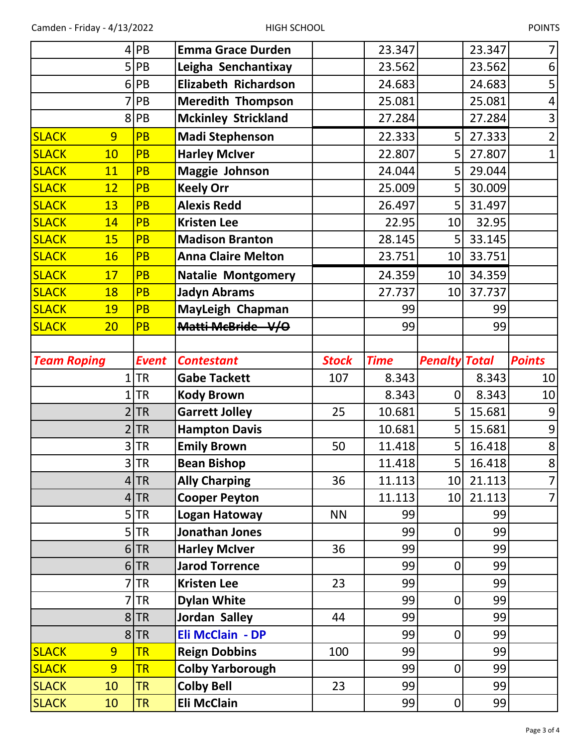| I |  |
|---|--|
|---|--|

|                              |           | 4 PB                   | <b>Emma Grace Durden</b>         |              | 23.347      |                      | 23.347   | 7 <sup>1</sup>          |
|------------------------------|-----------|------------------------|----------------------------------|--------------|-------------|----------------------|----------|-------------------------|
|                              |           | $5$ PB                 | Leigha Senchantixay              |              | 23.562      |                      | 23.562   | 6                       |
|                              |           | $6$ PB                 | Elizabeth Richardson             |              | 24.683      |                      | 24.683   | 5                       |
|                              |           | PB                     | <b>Meredith Thompson</b>         |              | 25.081      |                      | 25.081   | $\overline{a}$          |
|                              | 8         | PB                     | <b>Mckinley Strickland</b>       |              | 27.284      |                      | 27.284   | $\overline{\mathbf{3}}$ |
| <b>SLACK</b>                 | 9         | <b>PB</b>              | <b>Madi Stephenson</b>           |              | 22.333      | 5                    | 27.333   | $\overline{2}$          |
| <b>SLACK</b>                 | 10        | <b>PB</b>              | <b>Harley McIver</b>             |              | 22.807      | 5                    | 27.807   | $\mathbf 1$             |
| <b>SLACK</b>                 | 11        | <b>PB</b>              | Maggie Johnson                   |              | 24.044      | 5                    | 29.044   |                         |
| <b>SLACK</b>                 | 12        | <b>PB</b>              | <b>Keely Orr</b>                 |              | 25.009      | 5                    | 30.009   |                         |
| <b>SLACK</b>                 | 13        | PB                     | <b>Alexis Redd</b>               |              | 26.497      | 5                    | 31.497   |                         |
| <b>SLACK</b>                 | 14        | <b>PB</b>              | <b>Kristen Lee</b>               |              | 22.95       | 10                   | 32.95    |                         |
| <b>SLACK</b>                 | 15        | PB                     | <b>Madison Branton</b>           |              | 28.145      | 5                    | 33.145   |                         |
| <b>SLACK</b>                 | <b>16</b> | <b>PB</b>              | <b>Anna Claire Melton</b>        |              | 23.751      | 10                   | 33.751   |                         |
| <b>SLACK</b>                 | 17        | <b>PB</b>              | <b>Natalie Montgomery</b>        |              | 24.359      | 10 <sup>1</sup>      | 34.359   |                         |
| <b>SLACK</b>                 | 18        | <b>PB</b>              | <b>Jadyn Abrams</b>              |              | 27.737      | 10 <sup>1</sup>      | 37.737   |                         |
| <b>SLACK</b>                 | 19        | <b>PB</b>              | MayLeigh Chapman                 |              | 99          |                      | 99       |                         |
| <b>SLACK</b>                 | 20        | <b>PB</b>              | Matti McBride - V/O              |              | 99          |                      | 99       |                         |
|                              |           |                        |                                  |              |             |                      |          |                         |
| <b>Team Roping</b>           |           | <b>Event</b>           | <b>Contestant</b>                | <b>Stock</b> | <b>Time</b> | <b>Penalty Total</b> |          | <b>Points</b>           |
|                              |           |                        |                                  |              |             |                      |          |                         |
|                              | 1         | <b>TR</b>              | <b>Gabe Tackett</b>              | 107          | 8.343       |                      | 8.343    | 10                      |
|                              | 1         | <b>TR</b>              | <b>Kody Brown</b>                |              | 8.343       | $\mathbf 0$          | 8.343    | 10                      |
|                              |           | <b>TR</b>              | <b>Garrett Jolley</b>            | 25           | 10.681      | 5                    | 15.681   | $\boldsymbol{9}$        |
|                              | 2         | <b>TR</b>              | <b>Hampton Davis</b>             |              | 10.681      | 5                    | 15.681   | 9                       |
|                              | 3         | <b>TR</b>              | <b>Emily Brown</b>               | 50           | 11.418      | 5                    | 16.418   | 8                       |
|                              |           | 3 TR                   | <b>Bean Bishop</b>               |              | 11.418      | $\overline{5}$       | 16.418   | $\mathbf{8}$            |
|                              | 4         | <b>TR</b>              | <b>Ally Charping</b>             | 36           | 11.113      | 10 <sup>1</sup>      | 21.113   | $\overline{7}$          |
|                              | 4         | <b>TR</b>              | <b>Cooper Peyton</b>             |              | 11.113      | 10 <sup>1</sup>      | 21.113   | $\overline{7}$          |
|                              |           | 5 <sub>TR</sub>        | Logan Hatoway                    | <b>NN</b>    | 99          |                      | 99       |                         |
|                              |           | $5$ TR                 | Jonathan Jones                   |              | 99          | $\mathbf 0$          | 99       |                         |
|                              |           | $6$ TR                 | <b>Harley McIver</b>             | 36           | 99          |                      | 99       |                         |
|                              |           | $6$ TR                 | <b>Jarod Torrence</b>            |              | 99          | $\mathbf 0$          | 99       |                         |
|                              | 7         | <b>TR</b>              | <b>Kristen Lee</b>               | 23           | 99          |                      | 99       |                         |
|                              |           | <b>TR</b>              | <b>Dylan White</b>               |              | 99          | $\mathbf 0$          | 99       |                         |
|                              | 8         | <b>TR</b>              | Jordan Salley                    | 44           | 99          |                      | 99       |                         |
|                              | 8         | <b>TR</b>              | Eli McClain - DP                 |              | 99          | $\mathbf 0$          | 99       |                         |
| <b>SLACK</b>                 | 9         | <b>TR</b>              | <b>Reign Dobbins</b>             | 100          | 99          |                      | 99       |                         |
| <b>SLACK</b>                 | 9         | <b>TR</b>              | <b>Colby Yarborough</b>          |              | 99          | $\mathbf 0$          | 99       |                         |
| <b>SLACK</b><br><b>SLACK</b> | 10<br>10  | <b>TR</b><br><b>TR</b> | <b>Colby Bell</b><br>Eli McClain | 23           | 99<br>99    | $\boldsymbol{0}$     | 99<br>99 |                         |